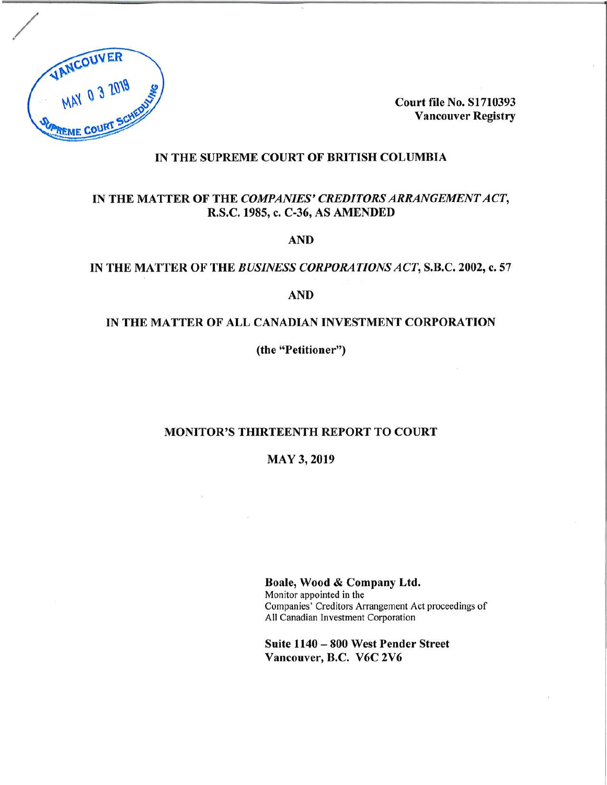

**Court file No. S1710393 Vancouver Registry**

## **IN THE SUPREME COURT OF BRITISH COLUMBIA**

## **IN THE MATTER OF THE** *COMPANIES' CREDITORSARRANGEMENTACT,* **R.S.C. 1985, c. C-36, AS AMENDED**

**AND**

## **IN THE MATTER OF THE** *BUSINESS CORPORATIONSACT,* **S.B.C. 2002, c. 57**

**AND**

## **IN THE MATTER OF ALL CANADIAN INVESTMENT CORPORATION**

**(the "Petitioner")**

## **MONITOR'S THIRTEENTH REPORT TO COURT**

**MAY 3, 2019**

**Boale, Wood & Company Ltd.** Monitor appointed in the Companies' Creditors Arrangement Act proceedings of All Canadian Investment Corporation

**Suite <sup>1140</sup> - <sup>800</sup> West Pender Street Vancouver, B.C. V6C 2V6**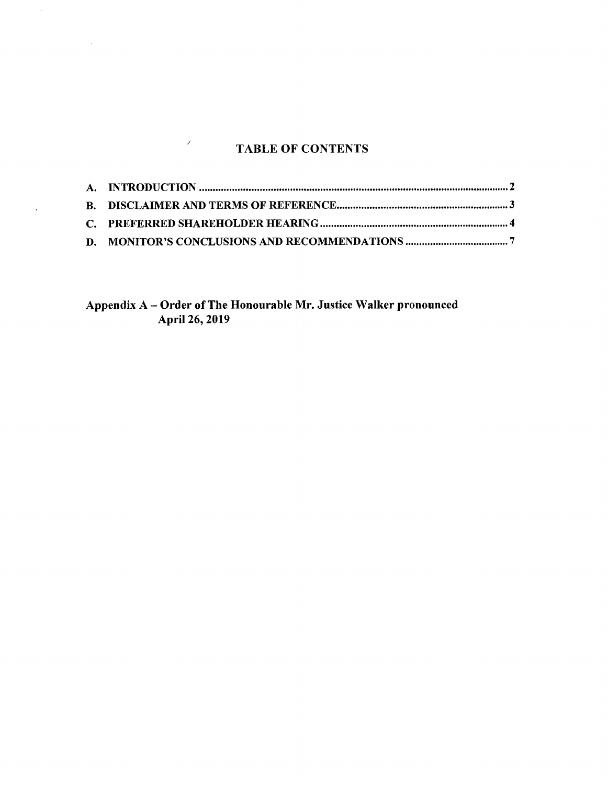# **TABLE OF CONTENTS**

 $\mathcal{S}$ 

 $\sim 10^{-11}$ 

 $\langle \rangle$ 

**Appendix <sup>A</sup> - Order ofThe Honourable Mr. Justice Walker pronounced April 26, 2019**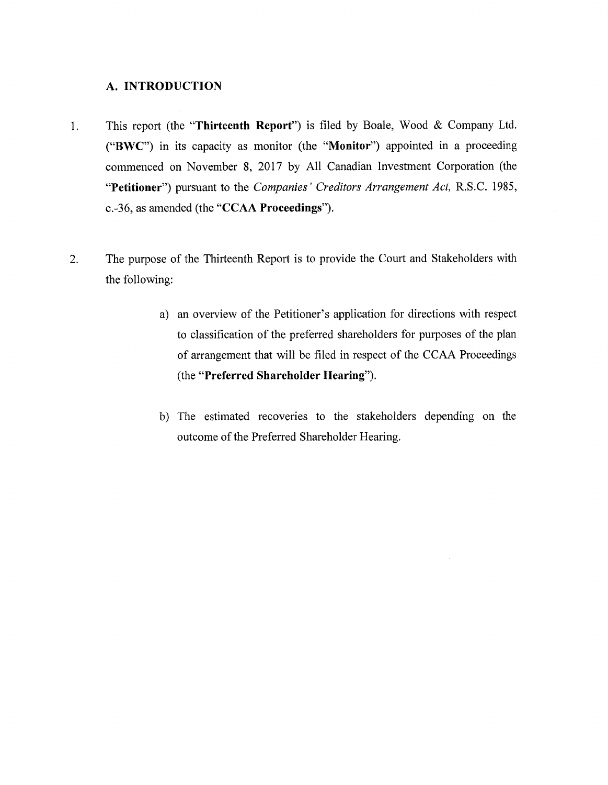## **A. INTRODUCTION**

- This report (the **"Thirteenth Report")** is filed by Boale, Wood & Company Ltd.  $1<sub>1</sub>$ **("BWC")** in its capacity as monitor (the **"Monitor")** appointed in a proceeding commenced on November 8, 2017 by All Canadian Investment Corporation (the **"Petitioner")** pursuant to the *Companies' Creditors Arrangement Act,* R.S.C. 1985, c.-36, as amended (the **"CCAA Proceedings").**
- $2.$ The purpose of the Thirteenth Report is to provide the Court and Stakeholders with the following:
	- a) an overview of the Petitioner's application for directions with respect to classification of the preferred shareholders for purposes of the plan of arrangement that will be filed in respect of the CCAA Proceedings (the **"Preferred Shareholder Hearing").**
	- b) The estimated recoveries to the stakeholders depending on the outcome of the Preferred Shareholder Hearing.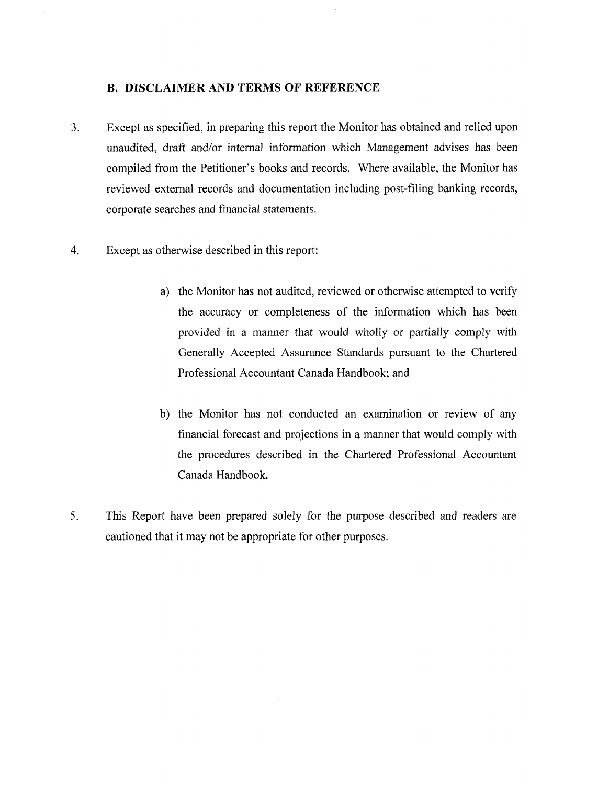### <span id="page-3-0"></span>**B. DISCLAIMER AND TERMS OF REFERENCE**

- $3<sub>1</sub>$ Except as specified, in preparing this report the Monitor has obtained and relied upon unaudited, draft and/or internal information which Management advises has been compiled from the Petitioner's books and records. Where available, the Monitor has reviewed external records and documentation including post-filing banking records, corporate searches and financial statements.
- Except as otherwise described in this report:  $4.$ 
	- a) the Monitor has not audited, reviewed or otherwise attempted to verify the accuracy or completeness of the information which has been provided in a manner that would wholly or partially comply with Generally Accepted Assurance Standards pursuant to the Chartered Professional Accountant Canada Handbook; and
	- b) the Monitor has not conducted an examination or review of any financial forecast and projections in a manner that would comply with the procedures described in the Chartered Professional Accountant Canada Handbook.
- $5<sub>1</sub>$ This Report have been prepared solely for the purpose described and readers are cautioned that it may not be appropriate for other purposes.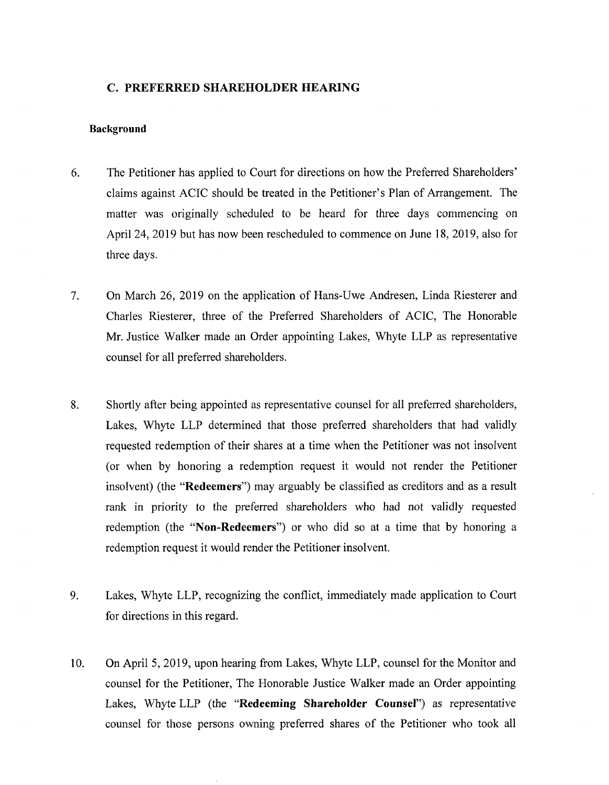#### <span id="page-4-0"></span>**C. PREFERRED SHAREHOLDER HEARING**

#### **Background**

- 6. The Petitioner has applied to Court for directions on how the Preferred Shareholders' claims against ACIC should be treated in the Petitioner's Plan of Arrangement. The matter was originally scheduled to be heard for three days commencing on April 24, 2019 but has now been rescheduled to commence on June 18, 2019, also for three days.
- 7. On March 26, 2019 on the application of Hans-Uwe Andresen, Linda Riesterer and Charles Riesterer, three of the Preferred Shareholders of ACIC, The Honorable Mr. Justice Walker made an Order appointing Lakes, Whyte LLP as representative counsel for all preferred shareholders.
- 8. Shortly after being appointed as representative counsel for all preferred shareholders, Lakes, Whyte LLP determined that those preferred shareholders that had validly requested redemption of their shares at a time when the Petitioner was not insolvent (or when by honoring a redemption request it would not render the Petitioner insolvent) (the **"Redeemers")** may arguably be classified as creditors and as a result rank in priority to the preferred shareholders who had not validly requested redemption (the **"Non-Redeemers")** or who did so at a time that by honoring a redemption request it would render the Petitioner insolvent.
- 9. Lakes, Whyte LLP, recognizing the conflict, immediately made application to Court for directions in this regard.
- 10. On April 5, 2019, upon hearing from Lakes, Whyte LLP, counsel for the Monitor and counsel for the Petitioner, The Honorable Justice Walker made an Order appointing Lakes, Whyte LLP (the **"Redeeming Shareholder Counsel")** as representative counsel for those persons owning preferred shares of the Petitioner who took all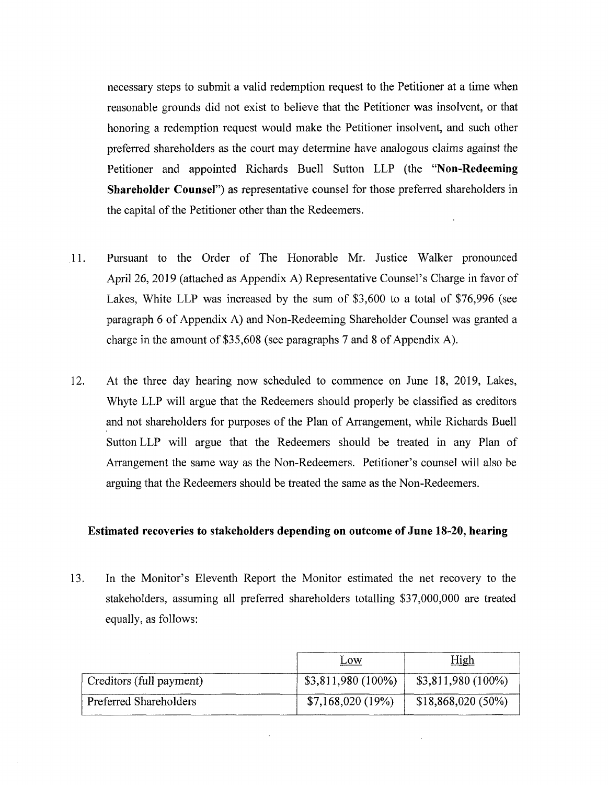necessary steps to submit a valid redemption request to the Petitioner at a time when reasonable grounds did not exist to believe that the Petitioner was insolvent, or that honoring a redemption request would make the Petitioner insolvent, and such other preferred shareholders as the court may determine have analogous claims against the Petitioner and appointed Richards Buell Sutton LLP (the **"Non-Redeeming Shareholder Counsel")** as representative counsel for those preferred shareholders in the capital of the Petitioner other than the Redeemers.

- 11. Pursuant to the Order of The Honorable Mr. Justice Walker pronounced April 26, 2019 (attached as Appendix A) Representative Counsel's Charge in favor of Lakes, White LLP was increased by the sum of \$3,600 to a total of \$76,996 (see paragraph 6 of Appendix A) and Non-Redeeming Shareholder Counsel was granted a charge in the amount of  $$35,608$  (see paragraphs 7 and 8 of Appendix A).
- 12. At the three day hearing now scheduled to commence on June 18, 2019, Lakes, Whyte LLP will argue that the Redeemers should properly be classified as creditors and not shareholders for purposes of the Plan of Arrangement, while Richards Buell Sutton LLP will argue that the Redeemers should be treated in any Plan of Arrangement the same way as the Non-Redeemers. Petitioner's counsel will also be arguing that the Redeemers should be treated the same as the Non-Redeemers.

## **Estimated recoveries to stakeholders depending on outcome of June 18-20, hearing**

13. In the Monitor's Eleventh Report the Monitor estimated the net recovery to the stakeholders, assuming all preferred shareholders totalling \$37,000,000 are treated equally, as follows:

|                          | Low                  | <u>High</u>         |
|--------------------------|----------------------|---------------------|
| Creditors (full payment) | $$3,811,980 (100\%)$ | $$3,811,980(100\%)$ |
| Preferred Shareholders   | \$7,168,020(19%)     | $$18,868,020(50\%)$ |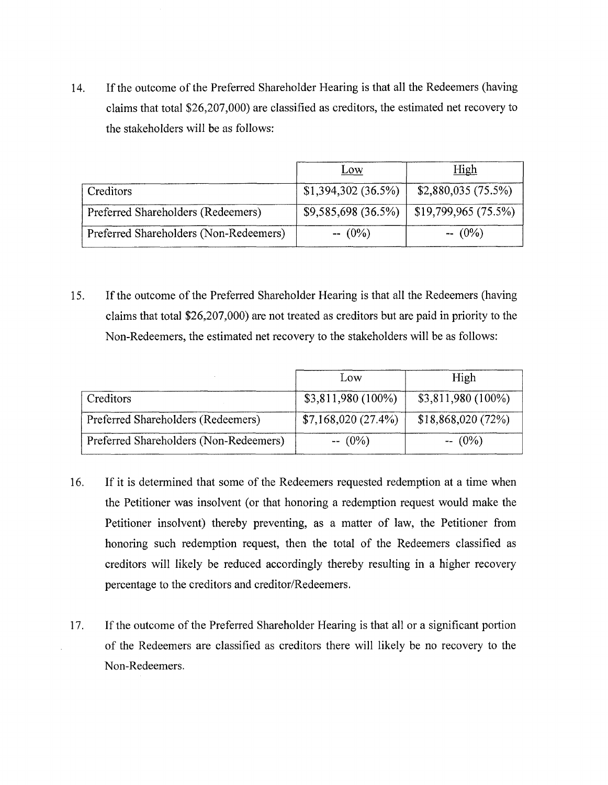14. If the outcome of the Preferred Shareholder Hearing is that all the Redeemers (having claims that total \$26,207,000) are classified as creditors, the estimated net recovery to the stakeholders will be as follows:

|                                        | Low                 | <u>High</u>          |
|----------------------------------------|---------------------|----------------------|
| Creditors                              | \$1,394,302(36.5%)  | \$2,880,035(75.5%)   |
| Preferred Shareholders (Redeemers)     | \$9,585,698 (36.5%) | \$19,799,965 (75.5%) |
| Preferred Shareholders (Non-Redeemers) | $- (0\%)$           | $- (0\%)$            |

15. If the outcome of the Preferred Shareholder Hearing is that all the Redeemers (having claims that total \$26,207,000) are not treated as creditors but are paid in priority to the Non-Redeemers, the estimated net recovery to the stakeholders will be as follows:

|                                        | Low                 | High                 |
|----------------------------------------|---------------------|----------------------|
| Creditors                              | $$3,811,980(100\%)$ | $$3,811,980 (100\%)$ |
| Preferred Shareholders (Redeemers)     | \$7,168,020(27.4%)  | \$18,868,020(72%)    |
| Preferred Shareholders (Non-Redeemers) | $- (0\%)$           | $- (0\%)$            |

- 16. If it is determined that some of the Redeemers requested redemption at a time when the Petitioner was insolvent (or that honoring a redemption request would make the Petitioner insolvent) thereby preventing, as a matter of law, the Petitioner from honoring such redemption request, then the total of the Redeemers classified as creditors will likely be reduced accordingly thereby resulting in a higher recovery percentage to the creditors and creditor/Redeemers.
- 17. If the outcome of the Preferred Shareholder Hearing is that all or a significant portion of the Redeemers are classified as creditors there will likely be no recovery to the Non-Redeemers.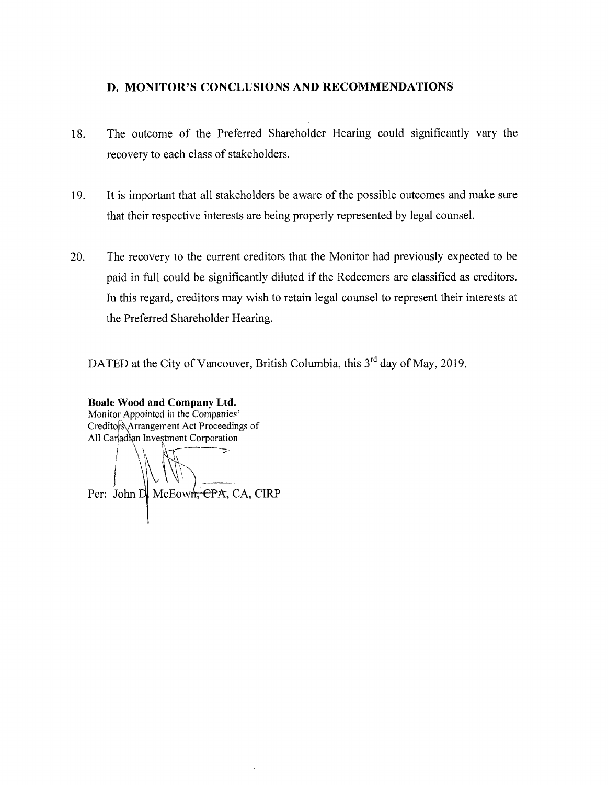## <span id="page-7-0"></span>**D. MONITOR'S CONCLUSIONS AND RECOMMENDATIONS**

- 18. The outcome of the Preferred Shareholder Hearing could significantly vary the recovery to each class of stakeholders.
- 19. It is important that all stakeholders be aware of the possible outcomes and make sure that their respective interests are being properly represented by legal counsel.
- 20. The recovery to the current creditors that the Monitor had previously expected to be paid in full could be significantly diluted if the Redeemers are classified as creditors. In this regard, creditors may wish to retain legal counsel to represent their interests at the Preferred Shareholder Hearing.

DATED at the City of Vancouver, British Columbia, this  $3<sup>rd</sup>$  day of May, 2019.

**Boale Wood and Company Ltd. Monitor Appointed in the Companies'**All Canadian Investment Corporation

Per: John D. McEown, CPA, CA, CIRP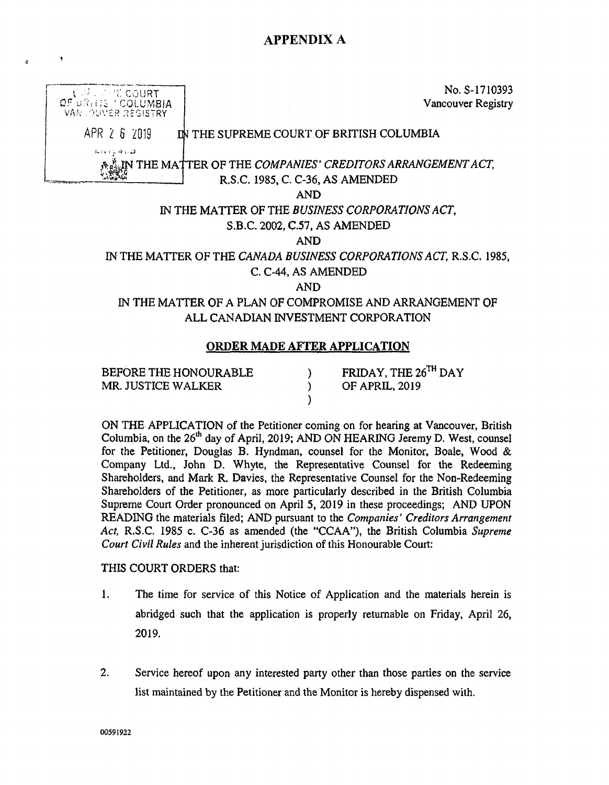# **APPENDIX A**



**BEFORE THE HONOURABLE ) FRIDAY, THE 26™ DAY MR. JUSTICE WALKER ) OF APRIL, 2019**

 $\bullet$ 

 $\lambda$ 

**ON THE APPLICATION of the Petitioner coming on for hearing at Vancouver, British Columbia, on the 26th day of April, 2019; AND ON HEARING Jeremy D. West, counsel for the Petitioner, Douglas B. Hyndman, counsel for the Monitor, Boale, Wood & Company Ltd., John D. Whyte, the Representative Counsel for the Redeeming Shareholders, and Mark R. Davies, the Representative Counsel for the Non-Redeeming Shareholders of the Petitioner, as more particularly described in the British Columbia Supreme Court Order pronounced on April 5, 2019 in these proceedings; AND UPON READING the materials filed; AND pursuant to the** *Companies' Creditors Arrangement Act,* **R.S.C. 1985 c. C-36 as amended (the "CCAA"), the British Columbia** *Supreme Court Civil Rules* **and the inherentjurisdiction of this Honourable Court:**

**)**

#### **THIS COURT ORDERS that:**

- **1. The time for service of this Notice of Application and the materials herein is abridged such that the application is properly returnable on Friday, April 26, 2019.**
- **2. Service hereof upon any interested party other than those parties on the service list maintained by the Petitioner and the Monitor is hereby dispensed with.**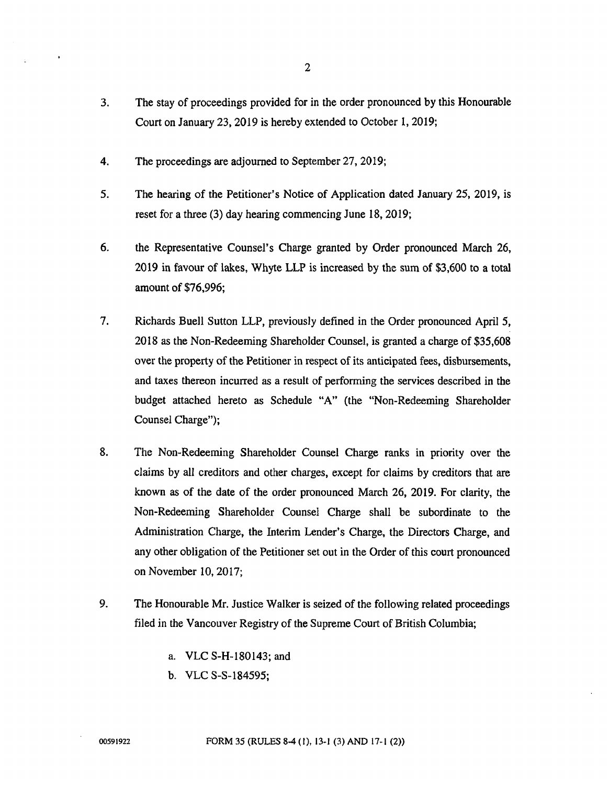- **3. The stay of proceedings provided for in the order pronounced by this Honourable Court on January 23,2019 is hereby extended to October 1, 2019;**
- **4. The proceedings are adjourned to September 27, 2019;**
- **5. The hearing of the Petitioner's Notice of Application dated January 25, 2019, is reset for a three (3) day hearing commencing June 18,2019;**
- **6. the Representative Counsel's Charge granted by Order pronounced March 26, 2019 in favour of lakes, Whyte LLP is increased by the sum of \$3,600 to a total amount of \$76,996;**
- **7. Richards Buell Sutton LLP, previously defined in the Order pronounced April 5, 2018 as the Non-Redeeming Shareholder Counsel, is granted a charge of \$35,608 over** the property of the Petitioner in respect of its anticipated fees, disbursements, **and taxes thereon incurred as a result of performing the services described in the budget attached hereto as Schedule "A" (the "Non-Redeeming Shareholder Counsel Charge");**
- **8. The Non-Redeeming Shareholder Counsel Charge ranks in priority over the claims by all creditors and other charges, except for claims by creditors that are known as of the date of the order pronounced March 26, 2019. For clarity, the Non-Redeeming Shareholder Counsel Charge shall be subordinate to the Administration Charge, the Interim Lender's Charge, the Directors Charge, and any other obligation of the Petitioner set out in the Order ofthis court pronounced on November 10,2017;**
- **9. The Honourable Mr. Justice Walker is seized of the following related proceedings filed in the Vancouver Registry of the Supreme Court of British Columbia;**
	- **a. VLC S-H-180143; and**
	- **b. VLC S-S-184595;**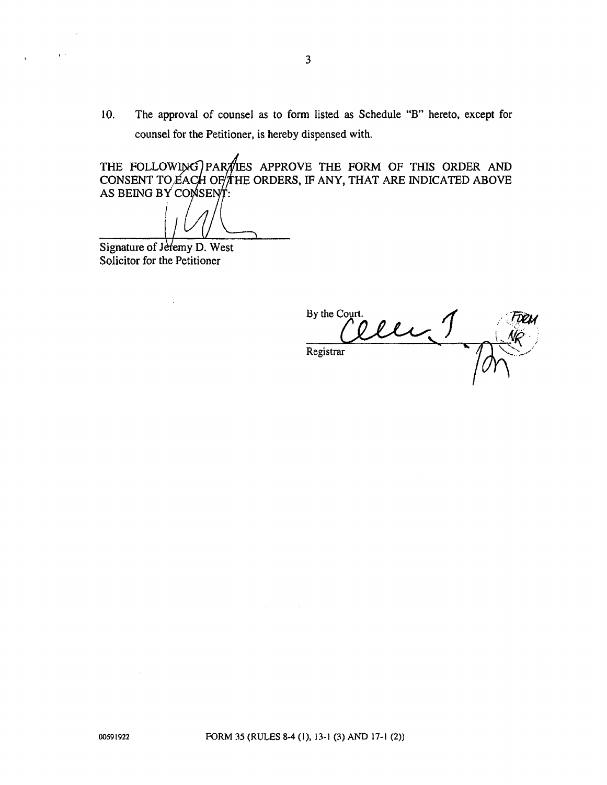**10. The approval of counsel as to form listed as Schedule "B" hereto, except for counsel for the Petitioner, is hereby dispensed with.**

**THE FOLLOW^K <sup>I</sup> PARTIES APPROVE THE FORM OF THIS ORDER AND CONSENT TO£A( I OF//THE ORDERS, IF ANY, THAT ARE INDICATED ABOVE AS BEING BY COl**

**Signature of Jeremy D. West Solicitor for the Petitioner**

 $\mathbf{r}^{-1}$ 

By the Court. Registrar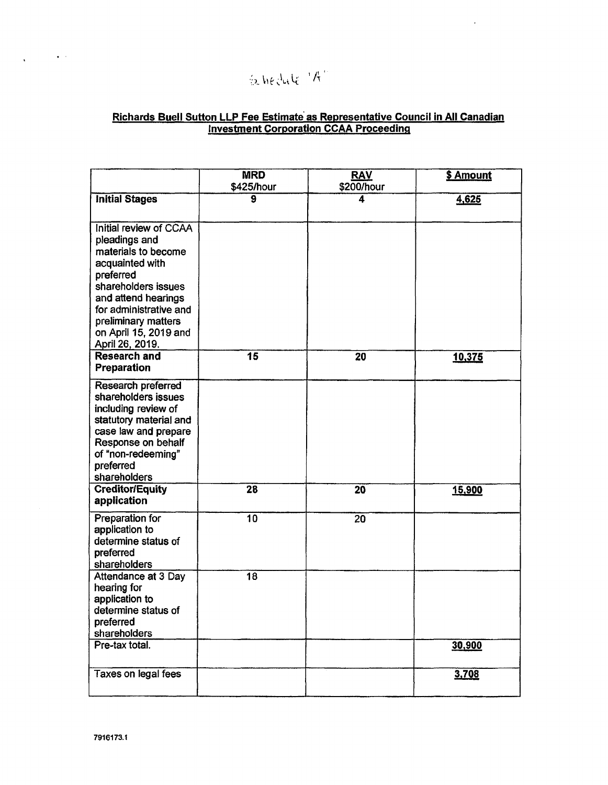# $\int_{\mathbb{R}}$  hedule  $\int_{0}^{1}$

## Richards Buell Sutton LLP Fee Estimate as Representative Council in All Canadian investment Corporation CCAA Proceeding

 $\ddot{\phantom{0}}$ 

|                                                                                                                                                                                                                                                                  | <b>MRD</b><br>\$425/hour | <b>RAV</b><br>\$200/hour | \$ Amount |
|------------------------------------------------------------------------------------------------------------------------------------------------------------------------------------------------------------------------------------------------------------------|--------------------------|--------------------------|-----------|
| <b>Initial Stages</b>                                                                                                                                                                                                                                            | 9                        | 4                        | 4,625     |
| Initial review of CCAA<br>pleadings and<br>materials to become<br>acquainted with<br>preferred<br>shareholders issues<br>and attend hearings<br>for administrative and<br>preliminary matters<br>on April 15, 2019 and<br>April 26, 2019.<br><b>Research and</b> | $\overline{\mathbf{15}}$ | 20                       | 10,375    |
| Preparation                                                                                                                                                                                                                                                      |                          |                          |           |
| Research preferred<br>shareholders issues<br>including review of<br>statutory material and<br>case law and prepare<br>Response on behalf<br>of "non-redeeming"<br>preferred<br>shareholders                                                                      |                          |                          |           |
| <b>Creditor/Equity</b><br>application                                                                                                                                                                                                                            | 28                       | 20                       | 15,900    |
| Preparation for<br>application to<br>determine status of<br>preferred<br>shareholders                                                                                                                                                                            | $\overline{10}$          | 20                       |           |
| Attendance at 3 Day<br>hearing for<br>application to<br>determine status of<br>preferred<br>shareholders                                                                                                                                                         | 18                       |                          |           |
| Pre-tax total.                                                                                                                                                                                                                                                   |                          |                          | 30,900    |
| <b>Taxes on legal fees</b>                                                                                                                                                                                                                                       |                          |                          | 3,708     |

 $\sqrt{1-\frac{1}{2}}$  , where  $\sqrt{1-\frac{1}{2}}$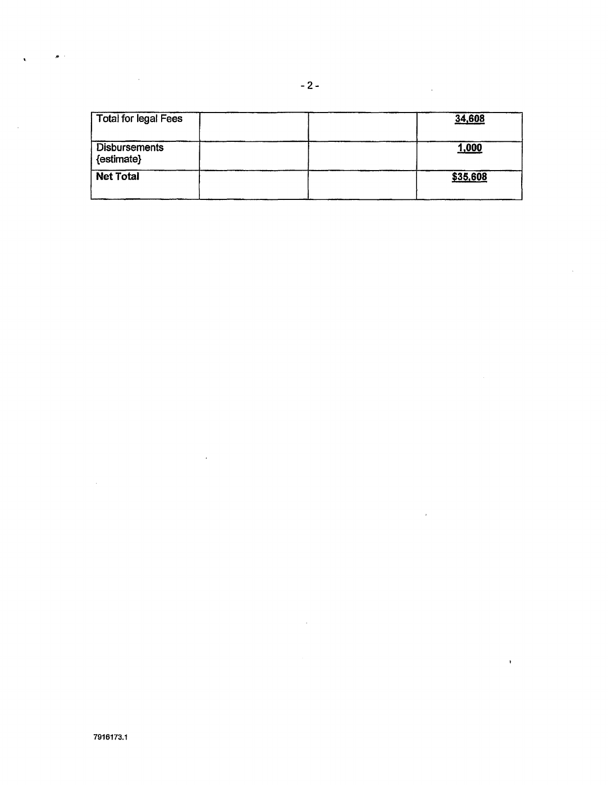| <b>Total for legal Fees</b>        | 34,608   |
|------------------------------------|----------|
| <b>Disbursements</b><br>{estimate} | 1,000    |
| <b>Net Total</b>                   | \$35,608 |

 $\sim 10^7$ 

 $\sim 10^{-1}$ 

 $\sim 10^7$ 

 $\sim$   $\alpha$ 

 $\sim$ 

 $\mathcal{L}^{\text{max}}_{\text{max}}$  , where  $\mathcal{L}^{\text{max}}_{\text{max}}$ 

 $\bullet$  .

 $\mathcal{L}_{\text{max}}$  and  $\mathcal{L}_{\text{max}}$ 

 $\ddot{\phantom{a}}$ 

 $\sim$